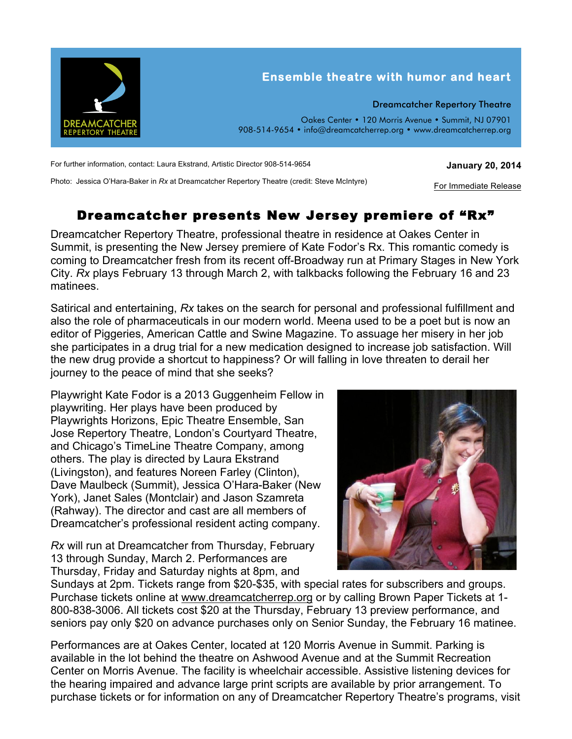

For further information, contact: Laura Ekstrand, Artistic Director 908-514-9654

**January 20, 2014**

For Immediate Release

Photo: Jessica O'Hara-Baker in *Rx* at Dreamcatcher Repertory Theatre (credit: Steve McIntyre)

## Dreamcatcher presents New Jersey premiere of "Rx"

Dreamcatcher Repertory Theatre, professional theatre in residence at Oakes Center in Summit, is presenting the New Jersey premiere of Kate Fodor's Rx. This romantic comedy is coming to Dreamcatcher fresh from its recent off-Broadway run at Primary Stages in New York City. *Rx* plays February 13 through March 2, with talkbacks following the February 16 and 23 matinees.

Satirical and entertaining, *Rx* takes on the search for personal and professional fulfillment and also the role of pharmaceuticals in our modern world. Meena used to be a poet but is now an editor of Piggeries, American Cattle and Swine Magazine. To assuage her misery in her job she participates in a drug trial for a new medication designed to increase job satisfaction. Will the new drug provide a shortcut to happiness? Or will falling in love threaten to derail her journey to the peace of mind that she seeks?

Playwright Kate Fodor is a 2013 Guggenheim Fellow in playwriting. Her plays have been produced by Playwrights Horizons, Epic Theatre Ensemble, San Jose Repertory Theatre, London's Courtyard Theatre, and Chicago's TimeLine Theatre Company, among others. The play is directed by Laura Ekstrand (Livingston), and features Noreen Farley (Clinton), Dave Maulbeck (Summit), Jessica O'Hara-Baker (New York), Janet Sales (Montclair) and Jason Szamreta (Rahway). The director and cast are all members of Dreamcatcher's professional resident acting company.

*Rx* will run at Dreamcatcher from Thursday, February 13 through Sunday, March 2. Performances are Thursday, Friday and Saturday nights at 8pm, and



Sundays at 2pm. Tickets range from \$20-\$35, with special rates for subscribers and groups. Purchase tickets online at www.dreamcatcherrep.org or by calling Brown Paper Tickets at 1- 800-838-3006. All tickets cost \$20 at the Thursday, February 13 preview performance, and seniors pay only \$20 on advance purchases only on Senior Sunday, the February 16 matinee.

Performances are at Oakes Center, located at 120 Morris Avenue in Summit. Parking is available in the lot behind the theatre on Ashwood Avenue and at the Summit Recreation Center on Morris Avenue. The facility is wheelchair accessible. Assistive listening devices for the hearing impaired and advance large print scripts are available by prior arrangement. To purchase tickets or for information on any of Dreamcatcher Repertory Theatre's programs, visit